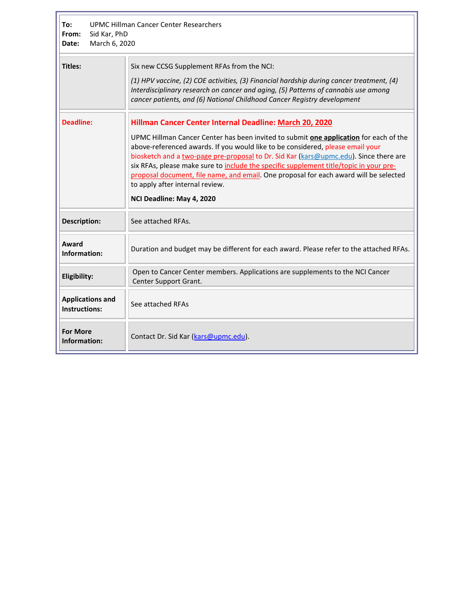| <b>UPMC Hillman Cancer Center Researchers</b><br>To:<br>From:<br>Sid Kar, PhD<br>March 6, 2020<br>Date: |                                                                                                                                                                                                                                                                                                                                                                                                                                                                                                                                                                                |
|---------------------------------------------------------------------------------------------------------|--------------------------------------------------------------------------------------------------------------------------------------------------------------------------------------------------------------------------------------------------------------------------------------------------------------------------------------------------------------------------------------------------------------------------------------------------------------------------------------------------------------------------------------------------------------------------------|
| <b>Titles:</b>                                                                                          | Six new CCSG Supplement RFAs from the NCI:<br>(1) HPV vaccine, (2) COE activities, (3) Financial hardship during cancer treatment, (4)<br>Interdisciplinary research on cancer and aging, (5) Patterns of cannabis use among<br>cancer patients, and (6) National Childhood Cancer Registry development                                                                                                                                                                                                                                                                        |
| <b>Deadline:</b>                                                                                        | Hillman Cancer Center Internal Deadline: March 20, 2020<br>UPMC Hillman Cancer Center has been invited to submit one application for each of the<br>above-referenced awards. If you would like to be considered, please email your<br>biosketch and a two-page pre-proposal to Dr. Sid Kar (kars@upmc.edu). Since there are<br>six RFAs, please make sure to include the specific supplement title/topic in your pre-<br>proposal document, file name, and email. One proposal for each award will be selected<br>to apply after internal review.<br>NCI Deadline: May 4, 2020 |
| <b>Description:</b>                                                                                     | See attached RFAs.                                                                                                                                                                                                                                                                                                                                                                                                                                                                                                                                                             |
| Award<br>Information:                                                                                   | Duration and budget may be different for each award. Please refer to the attached RFAs.                                                                                                                                                                                                                                                                                                                                                                                                                                                                                        |
| Eligibility:                                                                                            | Open to Cancer Center members. Applications are supplements to the NCI Cancer<br>Center Support Grant.                                                                                                                                                                                                                                                                                                                                                                                                                                                                         |
| <b>Applications and</b><br><b>Instructions:</b>                                                         | See attached RFAs                                                                                                                                                                                                                                                                                                                                                                                                                                                                                                                                                              |
| <b>For More</b><br>Information:                                                                         | Contact Dr. Sid Kar (kars@upmc.edu).                                                                                                                                                                                                                                                                                                                                                                                                                                                                                                                                           |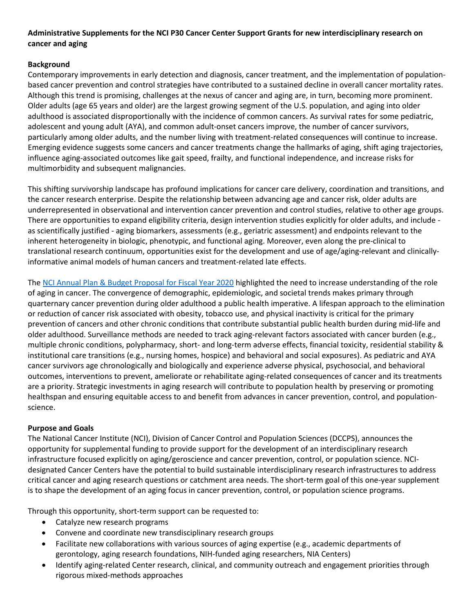# **Administrative Supplements for the NCI P30 Cancer Center Support Grants for new interdisciplinary research on cancer and aging**

# **Background**

Contemporary improvements in early detection and diagnosis, cancer treatment, and the implementation of populationbased cancer prevention and control strategies have contributed to a sustained decline in overall cancer mortality rates. Although this trend is promising, challenges at the nexus of cancer and aging are, in turn, becoming more prominent. Older adults (age 65 years and older) are the largest growing segment of the U.S. population, and aging into older adulthood is associated disproportionally with the incidence of common cancers. As survival rates for some pediatric, adolescent and young adult (AYA), and common adult-onset cancers improve, the number of cancer survivors, particularly among older adults, and the number living with treatment-related consequences will continue to increase. Emerging evidence suggests some cancers and cancer treatments change the hallmarks of aging, shift aging trajectories, influence aging-associated outcomes like gait speed, frailty, and functional independence, and increase risks for multimorbidity and subsequent malignancies.

This shifting survivorship landscape has profound implications for cancer care delivery, coordination and transitions, and the cancer research enterprise. Despite the relationship between advancing age and cancer risk, older adults are underrepresented in observational and intervention cancer prevention and control studies, relative to other age groups. There are opportunities to expand eligibility criteria, design intervention studies explicitly for older adults, and include as scientifically justified - aging biomarkers, assessments (e.g., geriatric assessment) and endpoints relevant to the inherent heterogeneity in biologic, phenotypic, and functional aging. Moreover, even along the pre-clinical to translational research continuum, opportunities exist for the development and use of age/aging-relevant and clinicallyinformative animal models of human cancers and treatment-related late effects.

The [NCI Annual Plan & Budget Proposal for Fiscal Year 2020](https://www.cancer.gov/about-nci/budget/plan/2020-annual-plan-budget-proposal.pdf) highlighted the need to increase understanding of the role of aging in cancer. The convergence of demographic, epidemiologic, and societal trends makes primary through quarternary cancer prevention during older adulthood a public health imperative. A lifespan approach to the elimination or reduction of cancer risk associated with obesity, tobacco use, and physical inactivity is critical for the primary prevention of cancers and other chronic conditions that contribute substantial public health burden during mid-life and older adulthood. Surveillance methods are needed to track aging-relevant factors associated with cancer burden (e.g., multiple chronic conditions, polypharmacy, short- and long-term adverse effects, financial toxicity, residential stability & institutional care transitions (e.g., nursing homes, hospice) and behavioral and social exposures). As pediatric and AYA cancer survivors age chronologically and biologically and experience adverse physical, psychosocial, and behavioral outcomes, interventions to prevent, ameliorate or rehabilitate aging-related consequences of cancer and its treatments are a priority. Strategic investments in aging research will contribute to population health by preserving or promoting healthspan and ensuring equitable access to and benefit from advances in cancer prevention, control, and populationscience.

# **Purpose and Goals**

The National Cancer Institute (NCI), Division of Cancer Control and Population Sciences (DCCPS), announces the opportunity for supplemental funding to provide support for the development of an interdisciplinary research infrastructure focused explicitly on aging/geroscience and cancer prevention, control, or population science. NCIdesignated Cancer Centers have the potential to build sustainable interdisciplinary research infrastructures to address critical cancer and aging research questions or catchment area needs. The short-term goal of this one-year supplement is to shape the development of an aging focus in cancer prevention, control, or population science programs.

Through this opportunity, short-term support can be requested to:

- Catalyze new research programs
- Convene and coordinate new transdisciplinary research groups
- Facilitate new collaborations with various sources of aging expertise (e.g., academic departments of gerontology, aging research foundations, NIH-funded aging researchers, NIA Centers)
- Identify aging-related Center research, clinical, and community outreach and engagement priorities through rigorous mixed-methods approaches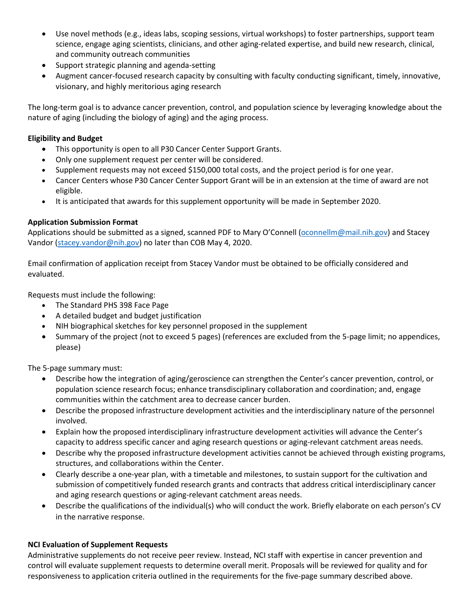- Use novel methods (e.g., ideas labs, scoping sessions, virtual workshops) to foster partnerships, support team science, engage aging scientists, clinicians, and other aging-related expertise, and build new research, clinical, and community outreach communities
- Support strategic planning and agenda-setting
- Augment cancer-focused research capacity by consulting with faculty conducting significant, timely, innovative, visionary, and highly meritorious aging research

The long-term goal is to advance cancer prevention, control, and population science by leveraging knowledge about the nature of aging (including the biology of aging) and the aging process.

## **Eligibility and Budget**

- This opportunity is open to all P30 Cancer Center Support Grants.
- Only one supplement request per center will be considered.
- Supplement requests may not exceed \$150,000 total costs, and the project period is for one year.
- Cancer Centers whose P30 Cancer Center Support Grant will be in an extension at the time of award are not eligible.
- It is anticipated that awards for this supplement opportunity will be made in September 2020.

## **Application Submission Format**

Applications should be submitted as a signed, scanned PDF to Mary O'Connell [\(oconnellm@mail.nih.gov\)](mailto:oconnellm@mail.nih.gov) and Stacey Vandor [\(stacey.vandor@nih.gov\)](mailto:stacey.vandor@nih.gov) no later than COB May 4, 2020.

Email confirmation of application receipt from Stacey Vandor must be obtained to be officially considered and evaluated.

Requests must include the following:

- The Standard PHS 398 Face Page
- A detailed budget and budget justification
- NIH biographical sketches for key personnel proposed in the supplement
- Summary of the project (not to exceed 5 pages) (references are excluded from the 5-page limit; no appendices, please)

The 5-page summary must:

- Describe how the integration of aging/geroscience can strengthen the Center's cancer prevention, control, or population science research focus; enhance transdisciplinary collaboration and coordination; and, engage communities within the catchment area to decrease cancer burden.
- Describe the proposed infrastructure development activities and the interdisciplinary nature of the personnel involved.
- Explain how the proposed interdisciplinary infrastructure development activities will advance the Center's capacity to address specific cancer and aging research questions or aging-relevant catchment areas needs.
- Describe why the proposed infrastructure development activities cannot be achieved through existing programs, structures, and collaborations within the Center.
- Clearly describe a one-year plan, with a timetable and milestones, to sustain support for the cultivation and submission of competitively funded research grants and contracts that address critical interdisciplinary cancer and aging research questions or aging-relevant catchment areas needs.
- Describe the qualifications of the individual(s) who will conduct the work. Briefly elaborate on each person's CV in the narrative response.

### **NCI Evaluation of Supplement Requests**

Administrative supplements do not receive peer review. Instead, NCI staff with expertise in cancer prevention and control will evaluate supplement requests to determine overall merit. Proposals will be reviewed for quality and for responsiveness to application criteria outlined in the requirements for the five-page summary described above.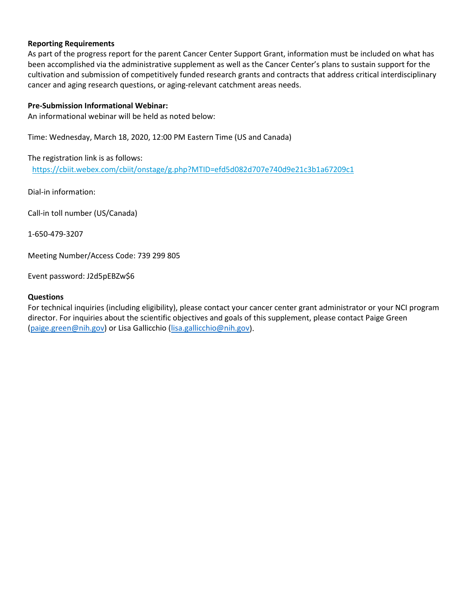### **Reporting Requirements**

As part of the progress report for the parent Cancer Center Support Grant, information must be included on what has been accomplished via the administrative supplement as well as the Cancer Center's plans to sustain support for the cultivation and submission of competitively funded research grants and contracts that address critical interdisciplinary cancer and aging research questions, or aging-relevant catchment areas needs.

#### **Pre-Submission Informational Webinar:**

An informational webinar will be held as noted below:

Time: Wednesday, March 18, 2020, 12:00 PM Eastern Time (US and Canada)

The registration link is as follows:

<https://cbiit.webex.com/cbiit/onstage/g.php?MTID=efd5d082d707e740d9e21c3b1a67209c1>

Dial-in information:

Call-in toll number (US/Canada)

1-650-479-3207

Meeting Number/Access Code: 739 299 805

Event password: J2d5pEBZw\$6

#### **Questions**

For technical inquiries (including eligibility), please contact your cancer center grant administrator or your NCI program director. For inquiries about the scientific objectives and goals of this supplement, please contact Paige Green [\(paige.green@nih.gov\)](mailto:paige.green@nih.gov) or Lisa Gallicchio [\(lisa.gallicchio@nih.gov\)](mailto:lisa.gallicchio@nih.gov).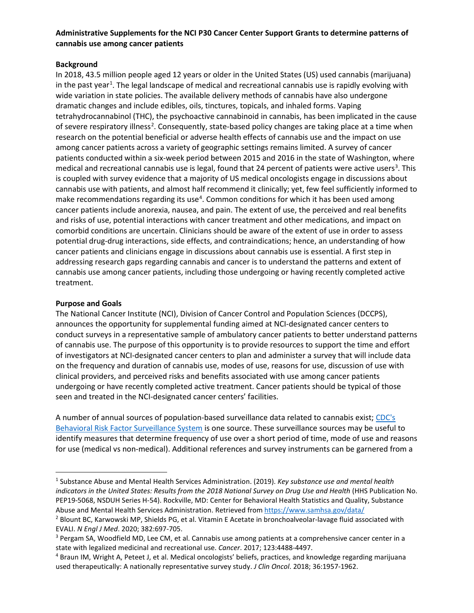# **Administrative Supplements for the NCI P30 Cancer Center Support Grants to determine patterns of cannabis use among cancer patients**

### **Background**

In 2018, 43.5 million people aged 12 years or older in the United States (US) used cannabis (marijuana) in the past year<sup>[1](#page-4-0)</sup>. The legal landscape of medical and recreational cannabis use is rapidly evolving with wide variation in state policies. The available delivery methods of cannabis have also undergone dramatic changes and include edibles, oils, tinctures, topicals, and inhaled forms. Vaping tetrahydrocannabinol (THC), the psychoactive cannabinoid in cannabis, has been implicated in the cause of severe respiratory illness<sup>[2](#page-4-1)</sup>. Consequently, state-based policy changes are taking place at a time when research on the potential beneficial or adverse health effects of cannabis use and the impact on use among cancer patients across a variety of geographic settings remains limited. A survey of cancer patients conducted within a six-week period between 2015 and 2016 in the state of Washington, where medical and recreational cannabis use is legal, found that 24 percent of patients were active users<sup>[3](#page-4-2)</sup>. This is coupled with survey evidence that a majority of US medical oncologists engage in discussions about cannabis use with patients, and almost half recommend it clinically; yet, few feel sufficiently informed to make recommendations regarding its use<sup>[4](#page-4-3)</sup>. Common conditions for which it has been used among cancer patients include anorexia, nausea, and pain. The extent of use, the perceived and real benefits and risks of use, potential interactions with cancer treatment and other medications, and impact on comorbid conditions are uncertain. Clinicians should be aware of the extent of use in order to assess potential drug-drug interactions, side effects, and contraindications; hence, an understanding of how cancer patients and clinicians engage in discussions about cannabis use is essential. A first step in addressing research gaps regarding cannabis and cancer is to understand the patterns and extent of cannabis use among cancer patients, including those undergoing or having recently completed active treatment.

#### **Purpose and Goals**

The National Cancer Institute (NCI), Division of Cancer Control and Population Sciences (DCCPS), announces the opportunity for supplemental funding aimed at NCI-designated cancer centers to conduct surveys in a representative sample of ambulatory cancer patients to better understand patterns of cannabis use. The purpose of this opportunity is to provide resources to support the time and effort of investigators at NCI-designated cancer centers to plan and administer a survey that will include data on the frequency and duration of cannabis use, modes of use, reasons for use, discussion of use with clinical providers, and perceived risks and benefits associated with use among cancer patients undergoing or have recently completed active treatment. Cancer patients should be typical of those seen and treated in the NCI-designated cancer centers' facilities.

A number of annual sources of population-based surveillance data related to cannabis exist; [CDC's](https://www.cdc.gov/brfss/annual_data/annual_2018.html)  [Behavioral Risk Factor Surveillance System](https://www.cdc.gov/brfss/annual_data/annual_2018.html) is one source. These surveillance sources may be useful to identify measures that determine frequency of use over a short period of time, mode of use and reasons for use (medical vs non-medical). Additional references and survey instruments can be garnered from a

<span id="page-4-0"></span> <sup>1</sup> Substance Abuse and Mental Health Services Administration. (2019). *Key substance use and mental health indicators in the United States: Results from the 2018 National Survey on Drug Use and Health* (HHS Publication No. PEP19-5068, NSDUH Series H-54). Rockville, MD: Center for Behavioral Health Statistics and Quality, Substance Abuse and Mental Health Services Administration. Retrieved from<https://www.samhsa.gov/data/>

<span id="page-4-1"></span><sup>2</sup> Blount BC, Karwowski MP, Shields PG, et al. Vitamin E Acetate in bronchoalveolar-lavage fluid associated with EVALI. *N Engl J Med*. 2020; 382:697-705.

<span id="page-4-2"></span><sup>&</sup>lt;sup>3</sup> Pergam SA, Woodfield MD, Lee CM, et al. Cannabis use among patients at a comprehensive cancer center in a state with legalized medicinal and recreational use. *Cancer*. 2017; 123:4488-4497.

<span id="page-4-3"></span><sup>4</sup> Braun IM, Wright A, Peteet J, et al. Medical oncologists' beliefs, practices, and knowledge regarding marijuana used therapeutically: A nationally representative survey study. *J Clin Oncol*. 2018; 36:1957-1962.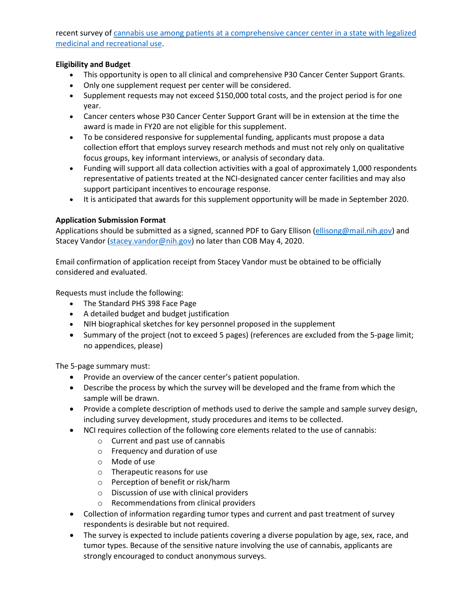recent survey of [cannabis use among patients at a comprehensive cancer center in a state with legalized](https://www.ncbi.nlm.nih.gov/pubmed/28944449)  [medicinal and recreational use.](https://www.ncbi.nlm.nih.gov/pubmed/28944449)

### **Eligibility and Budget**

- This opportunity is open to all clinical and comprehensive P30 Cancer Center Support Grants.
- Only one supplement request per center will be considered.
- Supplement requests may not exceed \$150,000 total costs, and the project period is for one year.
- Cancer centers whose P30 Cancer Center Support Grant will be in extension at the time the award is made in FY20 are not eligible for this supplement.
- To be considered responsive for supplemental funding, applicants must propose a data collection effort that employs survey research methods and must not rely only on qualitative focus groups, key informant interviews, or analysis of secondary data.
- Funding will support all data collection activities with a goal of approximately 1,000 respondents representative of patients treated at the NCI-designated cancer center facilities and may also support participant incentives to encourage response.
- It is anticipated that awards for this supplement opportunity will be made in September 2020.

## **Application Submission Format**

Applications should be submitted as a signed, scanned PDF to Gary Ellison [\(ellisong@mail.nih.gov\)](mailto:ellisong@mail.nih.gov) and Stacey Vandor [\(stacey.vandor@nih.gov\)](mailto:stacey.vandor@nih.gov) no later than COB May 4, 2020.

Email confirmation of application receipt from Stacey Vandor must be obtained to be officially considered and evaluated.

Requests must include the following:

- The Standard PHS 398 Face Page
- A detailed budget and budget justification
- NIH biographical sketches for key personnel proposed in the supplement
- Summary of the project (not to exceed 5 pages) (references are excluded from the 5-page limit; no appendices, please)

- Provide an overview of the cancer center's patient population.
- Describe the process by which the survey will be developed and the frame from which the sample will be drawn.
- Provide a complete description of methods used to derive the sample and sample survey design, including survey development, study procedures and items to be collected.
- NCI requires collection of the following core elements related to the use of cannabis:
	- o Current and past use of cannabis
	- o Frequency and duration of use
	- o Mode of use
	- o Therapeutic reasons for use
	- o Perception of benefit or risk/harm
	- o Discussion of use with clinical providers
	- o Recommendations from clinical providers
- Collection of information regarding tumor types and current and past treatment of survey respondents is desirable but not required.
- The survey is expected to include patients covering a diverse population by age, sex, race, and tumor types. Because of the sensitive nature involving the use of cannabis, applicants are strongly encouraged to conduct anonymous surveys.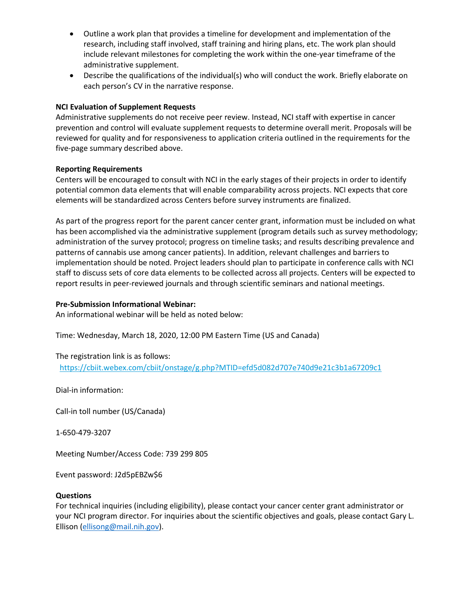- Outline a work plan that provides a timeline for development and implementation of the research, including staff involved, staff training and hiring plans, etc. The work plan should include relevant milestones for completing the work within the one-year timeframe of the administrative supplement.
- Describe the qualifications of the individual(s) who will conduct the work. Briefly elaborate on each person's CV in the narrative response.

### **NCI Evaluation of Supplement Requests**

Administrative supplements do not receive peer review. Instead, NCI staff with expertise in cancer prevention and control will evaluate supplement requests to determine overall merit. Proposals will be reviewed for quality and for responsiveness to application criteria outlined in the requirements for the five-page summary described above.

### **Reporting Requirements**

Centers will be encouraged to consult with NCI in the early stages of their projects in order to identify potential common data elements that will enable comparability across projects. NCI expects that core elements will be standardized across Centers before survey instruments are finalized.

As part of the progress report for the parent cancer center grant, information must be included on what has been accomplished via the administrative supplement (program details such as survey methodology; administration of the survey protocol; progress on timeline tasks; and results describing prevalence and patterns of cannabis use among cancer patients). In addition, relevant challenges and barriers to implementation should be noted. Project leaders should plan to participate in conference calls with NCI staff to discuss sets of core data elements to be collected across all projects. Centers will be expected to report results in peer-reviewed journals and through scientific seminars and national meetings.

### **Pre-Submission Informational Webinar:**

An informational webinar will be held as noted below:

Time: Wednesday, March 18, 2020, 12:00 PM Eastern Time (US and Canada)

The registration link is as follows: <https://cbiit.webex.com/cbiit/onstage/g.php?MTID=efd5d082d707e740d9e21c3b1a67209c1>

Dial-in information:

Call-in toll number (US/Canada)

1-650-479-3207

Meeting Number/Access Code: 739 299 805

Event password: J2d5pEBZw\$6

### **Questions**

For technical inquiries (including eligibility), please contact your cancer center grant administrator or your NCI program director. For inquiries about the scientific objectives and goals, please contact Gary L. Ellison [\(ellisong@mail.nih.gov\)](mailto:ellisong@mail.nih.gov).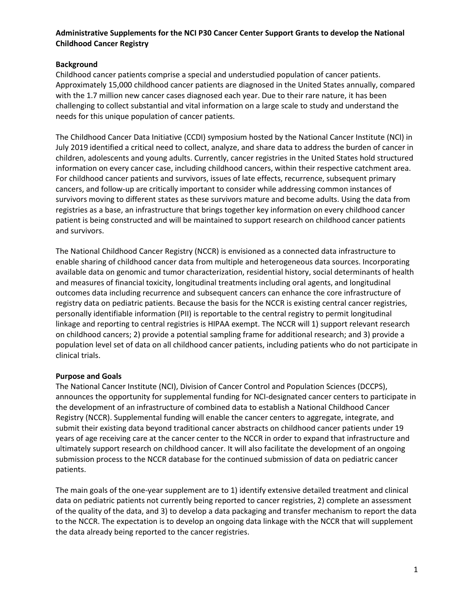## **Administrative Supplements for the NCI P30 Cancer Center Support Grants to develop the National Childhood Cancer Registry**

## **Background**

Childhood cancer patients comprise a special and understudied population of cancer patients. Approximately 15,000 childhood cancer patients are diagnosed in the United States annually, compared with the 1.7 million new cancer cases diagnosed each year. Due to their rare nature, it has been challenging to collect substantial and vital information on a large scale to study and understand the needs for this unique population of cancer patients.

The Childhood Cancer Data Initiative (CCDI) symposium hosted by the National Cancer Institute (NCI) in July 2019 identified a critical need to collect, analyze, and share data to address the burden of cancer in children, adolescents and young adults. Currently, cancer registries in the United States hold structured information on every cancer case, including childhood cancers, within their respective catchment area. For childhood cancer patients and survivors, issues of late effects, recurrence, subsequent primary cancers, and follow-up are critically important to consider while addressing common instances of survivors moving to different states as these survivors mature and become adults. Using the data from registries as a base, an infrastructure that brings together key information on every childhood cancer patient is being constructed and will be maintained to support research on childhood cancer patients and survivors.

The National Childhood Cancer Registry (NCCR) is envisioned as a connected data infrastructure to enable sharing of childhood cancer data from multiple and heterogeneous data sources. Incorporating available data on genomic and tumor characterization, residential history, social determinants of health and measures of financial toxicity, longitudinal treatments including oral agents, and longitudinal outcomes data including recurrence and subsequent cancers can enhance the core infrastructure of registry data on pediatric patients. Because the basis for the NCCR is existing central cancer registries, personally identifiable information (PII) is reportable to the central registry to permit longitudinal linkage and reporting to central registries is HIPAA exempt. The NCCR will 1) support relevant research on childhood cancers; 2) provide a potential sampling frame for additional research; and 3) provide a population level set of data on all childhood cancer patients, including patients who do not participate in clinical trials.

# **Purpose and Goals**

The National Cancer Institute (NCI), Division of Cancer Control and Population Sciences (DCCPS), announces the opportunity for supplemental funding for NCI-designated cancer centers to participate in the development of an infrastructure of combined data to establish a National Childhood Cancer Registry (NCCR). Supplemental funding will enable the cancer centers to aggregate, integrate, and submit their existing data beyond traditional cancer abstracts on childhood cancer patients under 19 years of age receiving care at the cancer center to the NCCR in order to expand that infrastructure and ultimately support research on childhood cancer. It will also facilitate the development of an ongoing submission process to the NCCR database for the continued submission of data on pediatric cancer patients.

The main goals of the one-year supplement are to 1) identify extensive detailed treatment and clinical data on pediatric patients not currently being reported to cancer registries, 2) complete an assessment of the quality of the data, and 3) to develop a data packaging and transfer mechanism to report the data to the NCCR. The expectation is to develop an ongoing data linkage with the NCCR that will supplement the data already being reported to the cancer registries.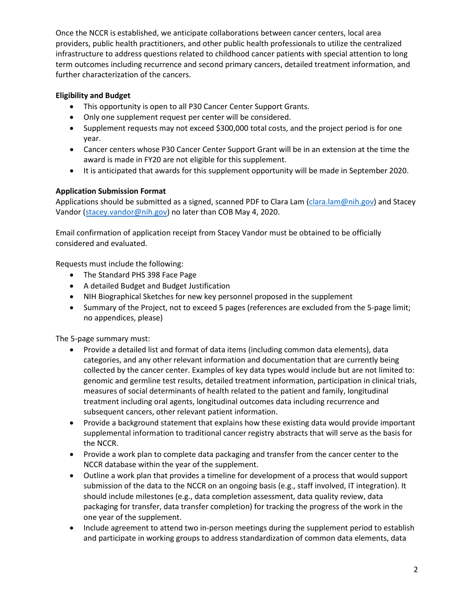Once the NCCR is established, we anticipate collaborations between cancer centers, local area providers, public health practitioners, and other public health professionals to utilize the centralized infrastructure to address questions related to childhood cancer patients with special attention to long term outcomes including recurrence and second primary cancers, detailed treatment information, and further characterization of the cancers.

# **Eligibility and Budget**

- This opportunity is open to all P30 Cancer Center Support Grants.
- Only one supplement request per center will be considered.
- Supplement requests may not exceed \$300,000 total costs, and the project period is for one year.
- Cancer centers whose P30 Cancer Center Support Grant will be in an extension at the time the award is made in FY20 are not eligible for this supplement.
- It is anticipated that awards for this supplement opportunity will be made in September 2020.

# **Application Submission Format**

Applications should be submitted as a signed, scanned PDF to Clara Lam [\(clara.lam@nih.gov\)](mailto:clara.lam@nih.gov) and Stacey Vandor [\(stacey.vandor@nih.gov\)](mailto:stacey.vandor@nih.gov) no later than COB May 4, 2020.

Email confirmation of application receipt from Stacey Vandor must be obtained to be officially considered and evaluated.

Requests must include the following:

- The Standard PHS 398 Face Page
- A detailed Budget and Budget Justification
- NIH Biographical Sketches for new key personnel proposed in the supplement
- Summary of the Project, not to exceed 5 pages (references are excluded from the 5-page limit; no appendices, please)

- Provide a detailed list and format of data items (including common data elements), data categories, and any other relevant information and documentation that are currently being collected by the cancer center. Examples of key data types would include but are not limited to: genomic and germline test results, detailed treatment information, participation in clinical trials, measures of social determinants of health related to the patient and family, longitudinal treatment including oral agents, longitudinal outcomes data including recurrence and subsequent cancers, other relevant patient information.
- Provide a background statement that explains how these existing data would provide important supplemental information to traditional cancer registry abstracts that will serve as the basis for the NCCR.
- Provide a work plan to complete data packaging and transfer from the cancer center to the NCCR database within the year of the supplement.
- Outline a work plan that provides a timeline for development of a process that would support submission of the data to the NCCR on an ongoing basis (e.g., staff involved, IT integration). It should include milestones (e.g., data completion assessment, data quality review, data packaging for transfer, data transfer completion) for tracking the progress of the work in the one year of the supplement.
- Include agreement to attend two in-person meetings during the supplement period to establish and participate in working groups to address standardization of common data elements, data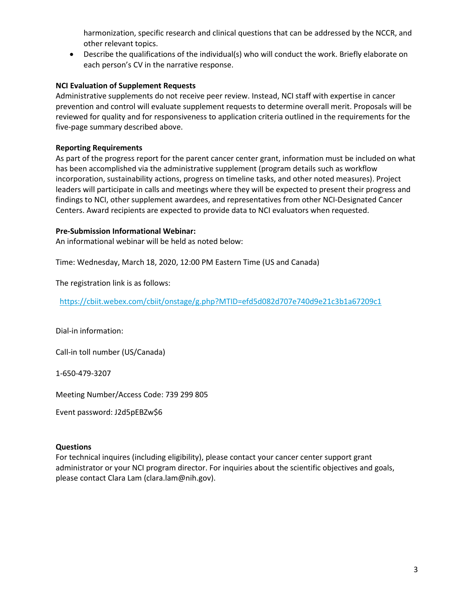harmonization, specific research and clinical questions that can be addressed by the NCCR, and other relevant topics.

• Describe the qualifications of the individual(s) who will conduct the work. Briefly elaborate on each person's CV in the narrative response.

## **NCI Evaluation of Supplement Requests**

Administrative supplements do not receive peer review. Instead, NCI staff with expertise in cancer prevention and control will evaluate supplement requests to determine overall merit. Proposals will be reviewed for quality and for responsiveness to application criteria outlined in the requirements for the five-page summary described above.

### **Reporting Requirements**

As part of the progress report for the parent cancer center grant, information must be included on what has been accomplished via the administrative supplement (program details such as workflow incorporation, sustainability actions, progress on timeline tasks, and other noted measures). Project leaders will participate in calls and meetings where they will be expected to present their progress and findings to NCI, other supplement awardees, and representatives from other NCI-Designated Cancer Centers. Award recipients are expected to provide data to NCI evaluators when requested.

### **Pre-Submission Informational Webinar:**

An informational webinar will be held as noted below:

Time: Wednesday, March 18, 2020, 12:00 PM Eastern Time (US and Canada)

The registration link is as follows:

<https://cbiit.webex.com/cbiit/onstage/g.php?MTID=efd5d082d707e740d9e21c3b1a67209c1>

Dial-in information:

Call-in toll number (US/Canada)

1-650-479-3207

Meeting Number/Access Code: 739 299 805

Event password: J2d5pEBZw\$6

### **Questions**

For technical inquires (including eligibility), please contact your cancer center support grant administrator or your NCI program director. For inquiries about the scientific objectives and goals, please contact Clara Lam (clara.lam@nih.gov).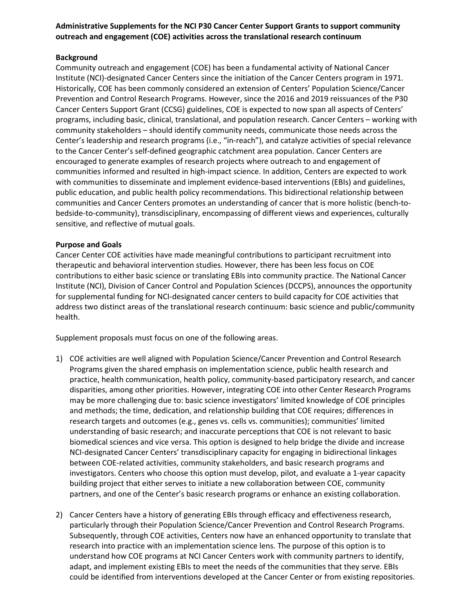## **Administrative Supplements for the NCI P30 Cancer Center Support Grants to support community outreach and engagement (COE) activities across the translational research continuum**

## **Background**

Community outreach and engagement (COE) has been a fundamental activity of National Cancer Institute (NCI)-designated Cancer Centers since the initiation of the Cancer Centers program in 1971. Historically, COE has been commonly considered an extension of Centers' Population Science/Cancer Prevention and Control Research Programs. However, since the 2016 and 2019 reissuances of the P30 Cancer Centers Support Grant (CCSG) guidelines, COE is expected to now span all aspects of Centers' programs, including basic, clinical, translational, and population research. Cancer Centers – working with community stakeholders – should identify community needs, communicate those needs across the Center's leadership and research programs (i.e., "in-reach"), and catalyze activities of special relevance to the Cancer Center's self-defined geographic catchment area population. Cancer Centers are encouraged to generate examples of research projects where outreach to and engagement of communities informed and resulted in high-impact science. In addition, Centers are expected to work with communities to disseminate and implement evidence-based interventions (EBIs) and guidelines, public education, and public health policy recommendations. This bidirectional relationship between communities and Cancer Centers promotes an understanding of cancer that is more holistic (bench-tobedside-to-community), transdisciplinary, encompassing of different views and experiences, culturally sensitive, and reflective of mutual goals.

## **Purpose and Goals**

Cancer Center COE activities have made meaningful contributions to participant recruitment into therapeutic and behavioral intervention studies. However, there has been less focus on COE contributions to either basic science or translating EBIs into community practice. The National Cancer Institute (NCI), Division of Cancer Control and Population Sciences (DCCPS), announces the opportunity for supplemental funding for NCI-designated cancer centers to build capacity for COE activities that address two distinct areas of the translational research continuum: basic science and public/community health.

Supplement proposals must focus on one of the following areas.

- 1) COE activities are well aligned with Population Science/Cancer Prevention and Control Research Programs given the shared emphasis on implementation science, public health research and practice, health communication, health policy, community-based participatory research, and cancer disparities, among other priorities. However, integrating COE into other Center Research Programs may be more challenging due to: basic science investigators' limited knowledge of COE principles and methods; the time, dedication, and relationship building that COE requires; differences in research targets and outcomes (e.g., genes vs. cells vs. communities); communities' limited understanding of basic research; and inaccurate perceptions that COE is not relevant to basic biomedical sciences and vice versa. This option is designed to help bridge the divide and increase NCI-designated Cancer Centers' transdisciplinary capacity for engaging in bidirectional linkages between COE-related activities, community stakeholders, and basic research programs and investigators. Centers who choose this option must develop, pilot, and evaluate a 1-year capacity building project that either serves to initiate a new collaboration between COE, community partners, and one of the Center's basic research programs or enhance an existing collaboration.
- 2) Cancer Centers have a history of generating EBIs through efficacy and effectiveness research, particularly through their Population Science/Cancer Prevention and Control Research Programs. Subsequently, through COE activities, Centers now have an enhanced opportunity to translate that research into practice with an implementation science lens. The purpose of this option is to understand how COE programs at NCI Cancer Centers work with community partners to identify, adapt, and implement existing EBIs to meet the needs of the communities that they serve. EBIs could be identified from interventions developed at the Cancer Center or from existing repositories.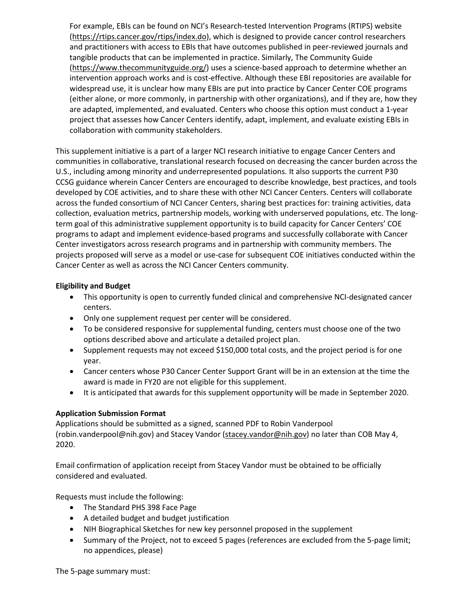For example, EBIs can be found on NCI's Research-tested Intervention Programs (RTIPS) website [\(https://rtips.cancer.gov/rtips/index.do\)](https://rtips.cancer.gov/rtips/index.do), which is designed to provide cancer control researchers and practitioners with access to EBIs that have outcomes published in peer-reviewed journals and tangible products that can be implemented in practice. Similarly, The Community Guide [\(https://www.thecommunityguide.org/\)](https://www.thecommunityguide.org/) uses a science-based approach to determine whether an intervention approach works and is cost-effective. Although these EBI repositories are available for widespread use, it is unclear how many EBIs are put into practice by Cancer Center COE programs (either alone, or more commonly, in partnership with other organizations), and if they are, how they are adapted, implemented, and evaluated. Centers who choose this option must conduct a 1-year project that assesses how Cancer Centers identify, adapt, implement, and evaluate existing EBIs in collaboration with community stakeholders.

This supplement initiative is a part of a larger NCI research initiative to engage Cancer Centers and communities in collaborative, translational research focused on decreasing the cancer burden across the U.S., including among minority and underrepresented populations. It also supports the current P30 CCSG guidance wherein Cancer Centers are encouraged to describe knowledge, best practices, and tools developed by COE activities, and to share these with other NCI Cancer Centers. Centers will collaborate across the funded consortium of NCI Cancer Centers, sharing best practices for: training activities, data collection, evaluation metrics, partnership models, working with underserved populations, etc. The longterm goal of this administrative supplement opportunity is to build capacity for Cancer Centers' COE programs to adapt and implement evidence-based programs and successfully collaborate with Cancer Center investigators across research programs and in partnership with community members. The projects proposed will serve as a model or use-case for subsequent COE initiatives conducted within the Cancer Center as well as across the NCI Cancer Centers community.

# **Eligibility and Budget**

- This opportunity is open to currently funded clinical and comprehensive NCI-designated cancer centers.
- Only one supplement request per center will be considered.
- To be considered responsive for supplemental funding, centers must choose one of the two options described above and articulate a detailed project plan.
- Supplement requests may not exceed \$150,000 total costs, and the project period is for one year.
- Cancer centers whose P30 Cancer Center Support Grant will be in an extension at the time the award is made in FY20 are not eligible for this supplement.
- It is anticipated that awards for this supplement opportunity will be made in September 2020.

### **Application Submission Format**

Applications should be submitted as a signed, scanned PDF to Robin Vanderpool (robin.vanderpool@nih.gov) and Stacey Vandor [\(stacey.vandor@nih.gov\)](mailto:stacey.vandor@nih.gov) no later than COB May 4, 2020.

Email confirmation of application receipt from Stacey Vandor must be obtained to be officially considered and evaluated.

Requests must include the following:

- The Standard PHS 398 Face Page
- A detailed budget and budget justification
- NIH Biographical Sketches for new key personnel proposed in the supplement
- Summary of the Project, not to exceed 5 pages (references are excluded from the 5-page limit; no appendices, please)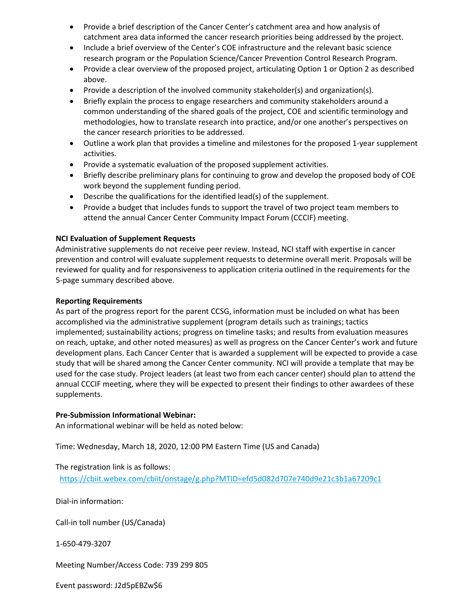- Provide a brief description of the Cancer Center's catchment area and how analysis of catchment area data informed the cancer research priorities being addressed by the project.
- Include a brief overview of the Center's COE infrastructure and the relevant basic science research program or the Population Science/Cancer Prevention Control Research Program.
- Provide a clear overview of the proposed project, articulating Option 1 or Option 2 as described above.
- Provide a description of the involved community stakeholder(s) and organization(s).
- Briefly explain the process to engage researchers and community stakeholders around a common understanding of the shared goals of the project, COE and scientific terminology and methodologies, how to translate research into practice, and/or one another's perspectives on the cancer research priorities to be addressed.
- Outline a work plan that provides a timeline and milestones for the proposed 1-year supplement activities.
- Provide a systematic evaluation of the proposed supplement activities.
- Briefly describe preliminary plans for continuing to grow and develop the proposed body of COE work beyond the supplement funding period.
- Describe the qualifications for the identified lead(s) of the supplement.
- Provide a budget that includes funds to support the travel of two project team members to attend the annual Cancer Center Community Impact Forum (CCCIF) meeting.

# **NCI Evaluation of Supplement Requests**

Administrative supplements do not receive peer review. Instead, NCI staff with expertise in cancer prevention and control will evaluate supplement requests to determine overall merit. Proposals will be reviewed for quality and for responsiveness to application criteria outlined in the requirements for the 5-page summary described above.

### **Reporting Requirements**

As part of the progress report for the parent CCSG, information must be included on what has been accomplished via the administrative supplement (program details such as trainings; tactics implemented; sustainability actions; progress on timeline tasks; and results from evaluation measures on reach, uptake, and other noted measures) as well as progress on the Cancer Center's work and future development plans. Each Cancer Center that is awarded a supplement will be expected to provide a case study that will be shared among the Cancer Center community. NCI will provide a template that may be used for the case study. Project leaders (at least two from each cancer center) should plan to attend the annual CCCIF meeting, where they will be expected to present their findings to other awardees of these supplements.

### **Pre-Submission Informational Webinar:**

An informational webinar will be held as noted below:

Time: Wednesday, March 18, 2020, 12:00 PM Eastern Time (US and Canada)

The registration link is as follows:

<https://cbiit.webex.com/cbiit/onstage/g.php?MTID=efd5d082d707e740d9e21c3b1a67209c1>

Dial-in information:

Call-in toll number (US/Canada)

1-650-479-3207

Meeting Number/Access Code: 739 299 805

Event password: J2d5pEBZw\$6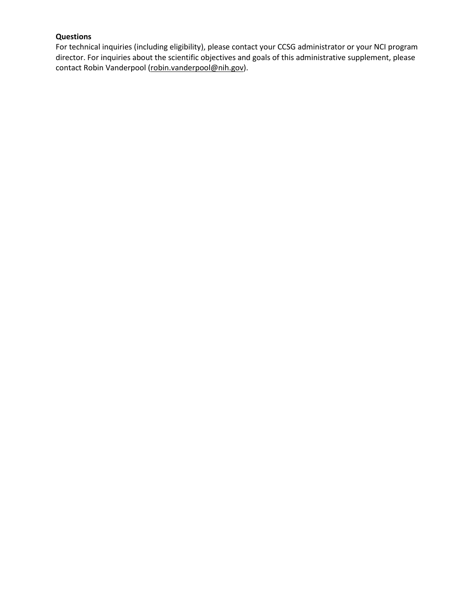# **Questions**

For technical inquiries (including eligibility), please contact your CCSG administrator or your NCI program director. For inquiries about the scientific objectives and goals of this administrative supplement, please contact Robin Vanderpool [\(robin.vanderpool@nih.gov\)](mailto:robin.vanderpool@nih.gov).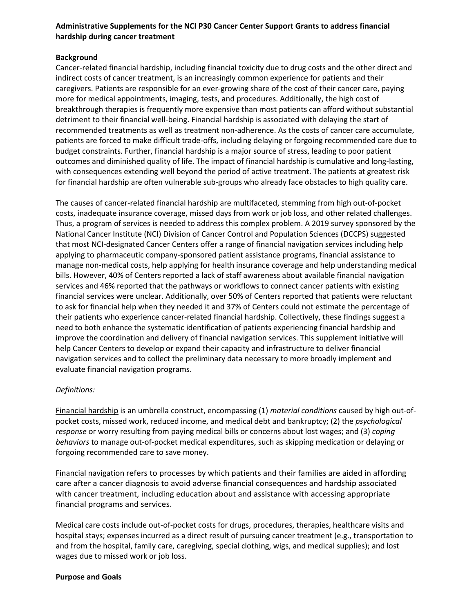## **Administrative Supplements for the NCI P30 Cancer Center Support Grants to address financial hardship during cancer treatment**

## **Background**

Cancer-related financial hardship, including financial toxicity due to drug costs and the other direct and indirect costs of cancer treatment, is an increasingly common experience for patients and their caregivers. Patients are responsible for an ever-growing share of the cost of their cancer care, paying more for medical appointments, imaging, tests, and procedures. Additionally, the high cost of breakthrough therapies is frequently more expensive than most patients can afford without substantial detriment to their financial well-being. Financial hardship is associated with delaying the start of recommended treatments as well as treatment non-adherence. As the costs of cancer care accumulate, patients are forced to make difficult trade-offs, including delaying or forgoing recommended care due to budget constraints. Further, financial hardship is a major source of stress, leading to poor patient outcomes and diminished quality of life. The impact of financial hardship is cumulative and long-lasting, with consequences extending well beyond the period of active treatment. The patients at greatest risk for financial hardship are often vulnerable sub-groups who already face obstacles to high quality care.

The causes of cancer-related financial hardship are multifaceted, stemming from high out-of-pocket costs, inadequate insurance coverage, missed days from work or job loss, and other related challenges. Thus, a program of services is needed to address this complex problem. A 2019 survey sponsored by the National Cancer Institute (NCI) Division of Cancer Control and Population Sciences (DCCPS) suggested that most NCI-designated Cancer Centers offer a range of financial navigation services including help applying to pharmaceutic company-sponsored patient assistance programs, financial assistance to manage non-medical costs, help applying for health insurance coverage and help understanding medical bills. However, 40% of Centers reported a lack of staff awareness about available financial navigation services and 46% reported that the pathways or workflows to connect cancer patients with existing financial services were unclear. Additionally, over 50% of Centers reported that patients were reluctant to ask for financial help when they needed it and 37% of Centers could not estimate the percentage of their patients who experience cancer-related financial hardship. Collectively, these findings suggest a need to both enhance the systematic identification of patients experiencing financial hardship and improve the coordination and delivery of financial navigation services. This supplement initiative will help Cancer Centers to develop or expand their capacity and infrastructure to deliver financial navigation services and to collect the preliminary data necessary to more broadly implement and evaluate financial navigation programs.

### *Definitions:*

Financial hardship is an umbrella construct, encompassing (1) *material conditions* caused by high out-ofpocket costs, missed work, reduced income, and medical debt and bankruptcy; (2) the *psychological response* or worry resulting from paying medical bills or concerns about lost wages; and (3) *coping behaviors* to manage out-of-pocket medical expenditures, such as skipping medication or delaying or forgoing recommended care to save money.

Financial navigation refers to processes by which patients and their families are aided in affording care after a cancer diagnosis to avoid adverse financial consequences and hardship associated with cancer treatment, including education about and assistance with accessing appropriate financial programs and services.

Medical care costs include out-of-pocket costs for drugs, procedures, therapies, healthcare visits and hospital stays; expenses incurred as a direct result of pursuing cancer treatment (e.g., transportation to and from the hospital, family care, caregiving, special clothing, wigs, and medical supplies); and lost wages due to missed work or job loss.

#### **Purpose and Goals**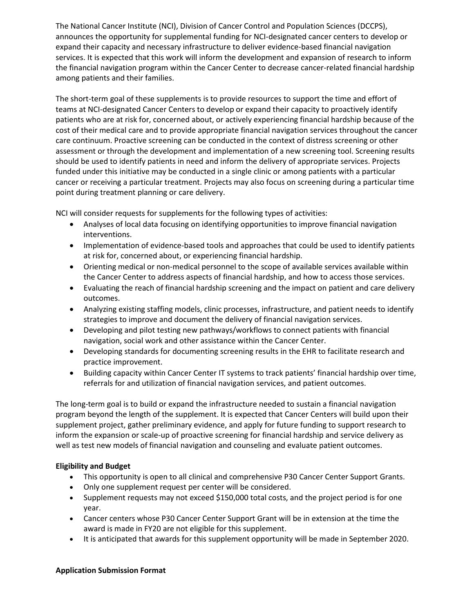The National Cancer Institute (NCI), Division of Cancer Control and Population Sciences (DCCPS), announces the opportunity for supplemental funding for NCI-designated cancer centers to develop or expand their capacity and necessary infrastructure to deliver evidence-based financial navigation services. It is expected that this work will inform the development and expansion of research to inform the financial navigation program within the Cancer Center to decrease cancer-related financial hardship among patients and their families.

The short-term goal of these supplements is to provide resources to support the time and effort of teams at NCI-designated Cancer Centers to develop or expand their capacity to proactively identify patients who are at risk for, concerned about, or actively experiencing financial hardship because of the cost of their medical care and to provide appropriate financial navigation services throughout the cancer care continuum. Proactive screening can be conducted in the context of distress screening or other assessment or through the development and implementation of a new screening tool. Screening results should be used to identify patients in need and inform the delivery of appropriate services. Projects funded under this initiative may be conducted in a single clinic or among patients with a particular cancer or receiving a particular treatment. Projects may also focus on screening during a particular time point during treatment planning or care delivery.

NCI will consider requests for supplements for the following types of activities:

- Analyses of local data focusing on identifying opportunities to improve financial navigation interventions.
- Implementation of evidence-based tools and approaches that could be used to identify patients at risk for, concerned about, or experiencing financial hardship.
- Orienting medical or non-medical personnel to the scope of available services available within the Cancer Center to address aspects of financial hardship, and how to access those services.
- Evaluating the reach of financial hardship screening and the impact on patient and care delivery outcomes.
- Analyzing existing staffing models, clinic processes, infrastructure, and patient needs to identify strategies to improve and document the delivery of financial navigation services.
- Developing and pilot testing new pathways/workflows to connect patients with financial navigation, social work and other assistance within the Cancer Center.
- Developing standards for documenting screening results in the EHR to facilitate research and practice improvement.
- Building capacity within Cancer Center IT systems to track patients' financial hardship over time, referrals for and utilization of financial navigation services, and patient outcomes.

The long-term goal is to build or expand the infrastructure needed to sustain a financial navigation program beyond the length of the supplement. It is expected that Cancer Centers will build upon their supplement project, gather preliminary evidence, and apply for future funding to support research to inform the expansion or scale-up of proactive screening for financial hardship and service delivery as well as test new models of financial navigation and counseling and evaluate patient outcomes.

# **Eligibility and Budget**

- This opportunity is open to all clinical and comprehensive P30 Cancer Center Support Grants.
- Only one supplement request per center will be considered.
- Supplement requests may not exceed \$150,000 total costs, and the project period is for one year.
- Cancer centers whose P30 Cancer Center Support Grant will be in extension at the time the award is made in FY20 are not eligible for this supplement.
- It is anticipated that awards for this supplement opportunity will be made in September 2020.

### **Application Submission Format**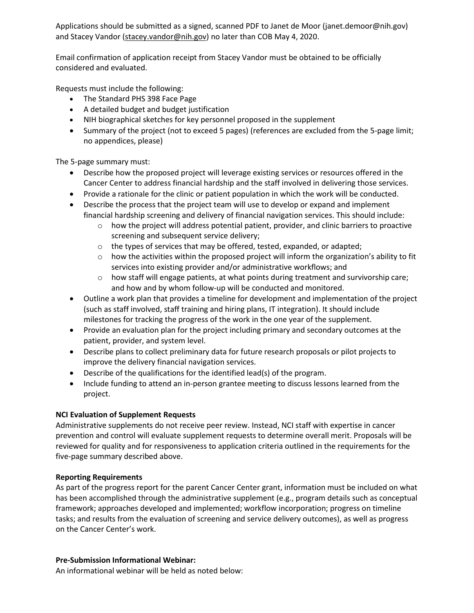Applications should be submitted as a signed, scanned PDF to Janet de Moor (janet.demoor@nih.gov) and Stacey Vandor [\(stacey.vandor@nih.gov\)](mailto:stacey.vandor@nih.gov) no later than COB May 4, 2020.

Email confirmation of application receipt from Stacey Vandor must be obtained to be officially considered and evaluated.

Requests must include the following:

- The Standard PHS 398 Face Page
- A detailed budget and budget justification
- NIH biographical sketches for key personnel proposed in the supplement
- Summary of the project (not to exceed 5 pages) (references are excluded from the 5-page limit; no appendices, please)

The 5-page summary must:

- Describe how the proposed project will leverage existing services or resources offered in the Cancer Center to address financial hardship and the staff involved in delivering those services.
- Provide a rationale for the clinic or patient population in which the work will be conducted.
- Describe the process that the project team will use to develop or expand and implement financial hardship screening and delivery of financial navigation services. This should include:
	- $\circ$  how the project will address potential patient, provider, and clinic barriers to proactive screening and subsequent service delivery;
	- o the types of services that may be offered, tested, expanded, or adapted;
	- $\circ$  how the activities within the proposed project will inform the organization's ability to fit services into existing provider and/or administrative workflows; and
	- $\circ$  how staff will engage patients, at what points during treatment and survivorship care; and how and by whom follow-up will be conducted and monitored.
- Outline a work plan that provides a timeline for development and implementation of the project (such as staff involved, staff training and hiring plans, IT integration). It should include milestones for tracking the progress of the work in the one year of the supplement.
- Provide an evaluation plan for the project including primary and secondary outcomes at the patient, provider, and system level.
- Describe plans to collect preliminary data for future research proposals or pilot projects to improve the delivery financial navigation services.
- Describe of the qualifications for the identified lead(s) of the program.
- Include funding to attend an in-person grantee meeting to discuss lessons learned from the project.

# **NCI Evaluation of Supplement Requests**

Administrative supplements do not receive peer review. Instead, NCI staff with expertise in cancer prevention and control will evaluate supplement requests to determine overall merit. Proposals will be reviewed for quality and for responsiveness to application criteria outlined in the requirements for the five-page summary described above.

# **Reporting Requirements**

As part of the progress report for the parent Cancer Center grant, information must be included on what has been accomplished through the administrative supplement (e.g., program details such as conceptual framework; approaches developed and implemented; workflow incorporation; progress on timeline tasks; and results from the evaluation of screening and service delivery outcomes), as well as progress on the Cancer Center's work.

# **Pre-Submission Informational Webinar:**

An informational webinar will be held as noted below: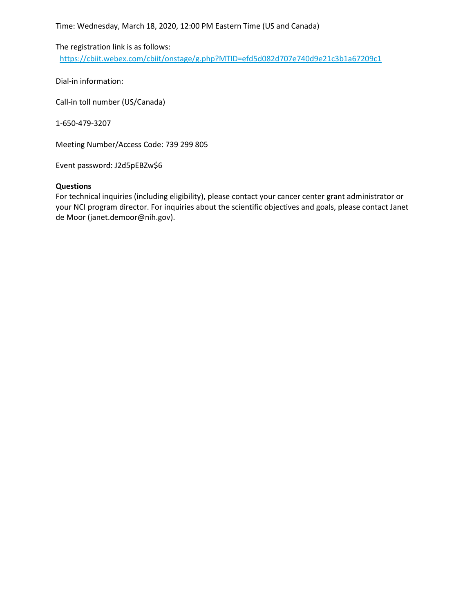Time: Wednesday, March 18, 2020, 12:00 PM Eastern Time (US and Canada)

The registration link is as follows: <https://cbiit.webex.com/cbiit/onstage/g.php?MTID=efd5d082d707e740d9e21c3b1a67209c1>

Dial-in information:

Call-in toll number (US/Canada)

1-650-479-3207

Meeting Number/Access Code: 739 299 805

Event password: J2d5pEBZw\$6

#### **Questions**

For technical inquiries (including eligibility), please contact your cancer center grant administrator or your NCI program director. For inquiries about the scientific objectives and goals, please contact Janet de Moor (janet.demoor@nih.gov).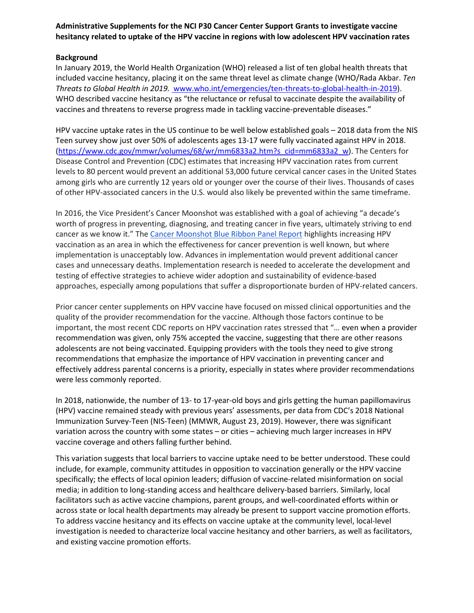## **Administrative Supplements for the NCI P30 Cancer Center Support Grants to investigate vaccine hesitancy related to uptake of the HPV vaccine in regions with low adolescent HPV vaccination rates**

## **Background**

In January 2019, the World Health Organization (WHO) released a list of ten global health threats that included vaccine hesitancy, placing it on the same threat level as climate change (WHO/Rada Akbar. *Ten Threats to Global Health in 2019.* www.who.int/emergencies/ten-threats-to-global-health-in-2019). WHO described vaccine hesitancy as "the reluctance or refusal to vaccinate despite the availability of vaccines and threatens to reverse progress made in tackling vaccine-preventable diseases."

HPV vaccine uptake rates in the US continue to be well below established goals – 2018 data from the NIS Teen survey show just over 50% of adolescents ages 13-17 were fully vaccinated against HPV in 2018. [\(https://www.cdc.gov/mmwr/volumes/68/wr/mm6833a2.htm?s\\_cid=mm6833a2\\_w\)](https://www.cdc.gov/mmwr/volumes/68/wr/mm6833a2.htm?s_cid=mm6833a2_w). The Centers for Disease Control and Prevention (CDC) estimates that increasing HPV vaccination rates from current levels to 80 percent would prevent an additional 53,000 future cervical cancer cases in the United States among girls who are currently 12 years old or younger over the course of their lives. Thousands of cases of other HPV-associated cancers in the U.S. would also likely be prevented within the same timeframe.

In 2016, the Vice President's Cancer Moonshot was established with a goal of achieving "a decade's worth of progress in preventing, diagnosing, and treating cancer in five years, ultimately striving to end cancer as we know it." The [Cancer Moonshot Blue](https://www.cancer.gov/research/key-initiatives/moonshot-cancer-initiative/blue-ribbon-panel/blue-ribbon-panel-report-2016.pdf) Ribbon Panel Report highlights increasing HPV vaccination as an area in which the effectiveness for cancer prevention is well known, but where implementation is unacceptably low. Advances in implementation would prevent additional cancer cases and unnecessary deaths. Implementation research is needed to accelerate the development and testing of effective strategies to achieve wider adoption and sustainability of evidence-based approaches, especially among populations that suffer a disproportionate burden of HPV-related cancers.

Prior cancer center supplements on HPV vaccine have focused on missed clinical opportunities and the quality of the provider recommendation for the vaccine. Although those factors continue to be important, the most recent CDC reports on HPV vaccination rates stressed that "… even when a provider recommendation was given, only 75% accepted the vaccine, suggesting that there are other reasons adolescents are not being vaccinated. Equipping providers with the tools they need to give strong recommendations that emphasize the importance of HPV vaccination in preventing cancer and effectively address parental concerns is a priority, especially in states where provider recommendations were less commonly reported.

In 2018, nationwide, the number of 13- to 17-year-old boys and girls getting the human papillomavirus (HPV) vaccine remained steady with previous years' assessments, per data from CDC's 2018 National Immunization Survey-Teen (NIS-Teen) (MMWR, August 23, 2019). However, there was significant variation across the country with some states – or cities – achieving much larger increases in HPV vaccine coverage and others falling further behind.

This variation suggests that local barriers to vaccine uptake need to be better understood. These could include, for example, community attitudes in opposition to vaccination generally or the HPV vaccine specifically; the effects of local opinion leaders; diffusion of vaccine-related misinformation on social media; in addition to long-standing access and healthcare delivery-based barriers. Similarly, local facilitators such as active vaccine champions, parent groups, and well-coordinated efforts within or across state or local health departments may already be present to support vaccine promotion efforts. To address vaccine hesitancy and its effects on vaccine uptake at the community level, local-level investigation is needed to characterize local vaccine hesitancy and other barriers, as well as facilitators, and existing vaccine promotion efforts.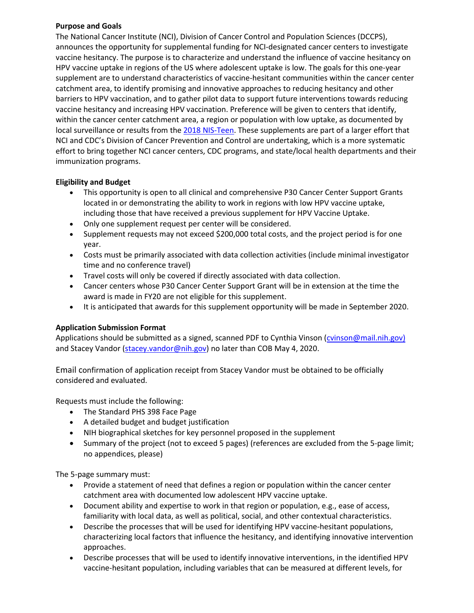### **Purpose and Goals**

The National Cancer Institute (NCI), Division of Cancer Control and Population Sciences (DCCPS), announces the opportunity for supplemental funding for NCI-designated cancer centers to investigate vaccine hesitancy. The purpose is to characterize and understand the influence of vaccine hesitancy on HPV vaccine uptake in regions of the US where adolescent uptake is low. The goals for this one-year supplement are to understand characteristics of vaccine-hesitant communities within the cancer center catchment area, to identify promising and innovative approaches to reducing hesitancy and other barriers to HPV vaccination, and to gather pilot data to support future interventions towards reducing vaccine hesitancy and increasing HPV vaccination. Preference will be given to centers that identify, within the cancer center catchment area, a region or population with low uptake, as documented by local surveillance or results from the [2018 NIS-Teen.](https://www.cdc.gov/mmwr/volumes/68/wr/mm6833a2.htm?s_cid=mm6833a2_w) These supplements are part of a larger effort that NCI and CDC's Division of Cancer Prevention and Control are undertaking, which is a more systematic effort to bring together NCI cancer centers, CDC programs, and state/local health departments and their immunization programs.

# **Eligibility and Budget**

- This opportunity is open to all clinical and comprehensive P30 Cancer Center Support Grants located in or demonstrating the ability to work in regions with low HPV vaccine uptake, including those that have received a previous supplement for HPV Vaccine Uptake.
- Only one supplement request per center will be considered.
- Supplement requests may not exceed \$200,000 total costs, and the project period is for one year.
- Costs must be primarily associated with data collection activities (include minimal investigator time and no conference travel)
- Travel costs will only be covered if directly associated with data collection.
- Cancer centers whose P30 Cancer Center Support Grant will be in extension at the time the award is made in FY20 are not eligible for this supplement.
- It is anticipated that awards for this supplement opportunity will be made in September 2020.

### **Application Submission Format**

Applications should be submitted as a signed, scanned PDF to Cynthia Vinson [\(cvinson@mail.nih.gov\)](mailto:cvinson@mail.nih.gov) and Stacey Vandor [\(stacey.vandor@nih.gov\)](mailto:stacey.vandor@nih.gov) no later than COB May 4, 2020.

Email confirmation of application receipt from Stacey Vandor must be obtained to be officially considered and evaluated.

Requests must include the following:

- The Standard PHS 398 Face Page
- A detailed budget and budget justification
- NIH biographical sketches for key personnel proposed in the supplement
- Summary of the project (not to exceed 5 pages) (references are excluded from the 5-page limit; no appendices, please)

- Provide a statement of need that defines a region or population within the cancer center catchment area with documented low adolescent HPV vaccine uptake.
- Document ability and expertise to work in that region or population, e.g., ease of access, familiarity with local data, as well as political, social, and other contextual characteristics.
- Describe the processes that will be used for identifying HPV vaccine-hesitant populations, characterizing local factors that influence the hesitancy, and identifying innovative intervention approaches.
- Describe processes that will be used to identify innovative interventions, in the identified HPV vaccine-hesitant population, including variables that can be measured at different levels, for